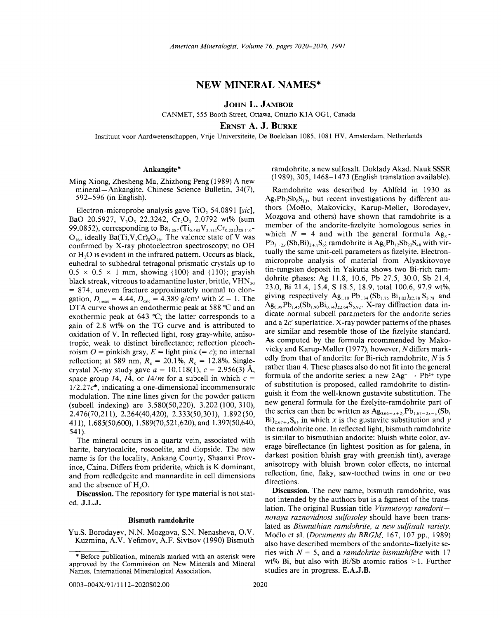# NEW MINERAL NAMES\*

JOHN L. JAMBOR

CANMET, 555 Booth Street, Ottawa, Ontario KIA OG1, Canada

ERNST A. J. BURKE

Instituut voor Aardwetenschappen, Vrije Universiteite, De Boelelaan 1085, 1081 HV, Amsterdam, Netherlands

## Ankangite\*

Ming Xiong, Zhesheng Ma, Zhizhong Peng (1989) A new mineral- Ankangite. Chinese Science Bulletin, 34(7), 592-596 (in English).

Electron-microprobe analysis gave TiO<sub>2</sub> 54.0891 *[sic]*, BaO 20.5927, V<sub>2</sub>O<sub>3</sub> 22.3242, Cr<sub>2</sub>O<sub>3</sub> 2.0792 wt% (sum 99.0852), corresponding to Ba<sub>1.087</sub> (Ti<sub>5.482</sub>V<sub>2.412</sub>Cr<sub>0.222</sub>)<sub>28.116</sub>- $O<sub>16</sub>$ , ideally Ba(Ti,V,Cr)<sub>8</sub>O<sub>16</sub>. The valence state of V was confirmed by X-ray photoelectron spectroscopy; no OH or H20 is evident in the infrared pattern. Occurs as black, euhedral to subhedral tetragonal prismatic crystals up to  $0.5 \times 0.5 \times 1$  mm, showing {100} and {110}; gravish black streak, vitreous to adamantine luster, brittle,  $VHN<sub>so</sub>$  $= 874$ , uneven fracture approximately normal to elongation,  $D_{\text{meas}} = 4.44$ ,  $D_{\text{calc}} = 4.389$  g/cm<sup>3</sup> with  $Z = 1$ . The DTA curve shows an endothermic peak at 588 °C and an exothermic peak at 643 °C; the latter corresponds to a gain of 2.8 wt% on the TG curve and is attributed to oxidation of V. In reflected light, rosy gray-white, anisotropic, weak to distinct bireflectance; reflection pleochroism  $O =$  pinkish gray,  $E =$  light pink (= *c*); no internal reflection; at 589 nm,  $R_e = 20.1\%$ ,  $R_o = 12.8\%$ . Singlecrystal X-ray study gave  $a = 10.118(1)$ ,  $c = 2.956(3)$  Å, space group 14,  $I\bar{4}$ , or  $I4/m$  for a subcell in which  $c =$ *1/2.27c\*,* indicating a one-dimensional incommensurate modulation. The nine lines given for the powder pattern (subcell indexing) are 3.580(50,220), 3.202 (100, 310), 2.476(70,211), 2.264(40,420), 2.333(50,301), 1.892(50, 411), 1.685(50,600), 1.589(70,521,620), and 1.397(50,640, 541).

The mineral occurs in a quartz vein, associated with barite, barytocalcite, roscoelite, and diopside. The new name is for the locality, Ankang County, Shaanxi Province, China. Differs from priderite, which is K dominant, and from redledgeite and mannardite in cell dimensions and the absence of H<sub>2</sub>O.

Discussion. The repository for type material is not stated. J.L.J.

#### Bismuth ramdohrite

Yu.S. Borodayev, N.N. Mozgova, S.N. Nenasheva, O.V. Kuzmina, A.V. Yefimov, A.F. Sivtsov (1990) Bismuth ramdohrite, a new sulfosalt. Doklady Akad. Nauk SSSR (1989),305,1468-1473 (English translation available).

Ramdohrite was described by Ahlfeld in 1930 as  $Ag_2Pb_3Sb_6S_{13}$ , but recent investigations by different authors (Moëlo, Makovicky, Karup-Møller, Borodayev, Mozgova and others) have shown that ramdohrite is a member of the andorite-fizelyite homologous series in which  $N = 4$  and with the general formula  $Ag_x$ - $Pb_3 \rightarrow (Sb, Bi)_{2+\sqrt{S_6}}$ ; ramdohrite is  $Ag_6Pb_{12}Sb_{22}S_{48}$  with virtually the same unit-cell parameters as fizelyite. Electronmicroprobe analysis of material from Alyaskitovoye tin-tungsten deposit in Yakutia shows two Bi-rich ramdohrite phases: Ag 11.8, 10.6, Pb 27.5, 30.0, Sb 21.4, 23.0, Bi 21.4, 15.4, S 18.5, 18.9, total 100.6, 97.9 wt%, giving respectively  $Ag_{1,10} Pb_{1,34} (Sb_{1,76} Bi_{1,02})_{z_2,78} S_{5,78}$  and  $Ag_{0.99}Pb_{1.45}(Sb_{1.90}Bi_{0.74})_{22.64}S_{5.92}$ . X-ray diffraction data indicate normal subcell parameters for the andorite series and a *2c'* superlattice. X-ray powder patterns of the phases are similar and resemble those of the fizelyite standard. As computed by the formula recommended by Makovicky and Karup-Meller (1977), however, *N* differs markedly from that of andorite: for Bi-rich ramdohrite, N is 5 rather than 4. These phases also do not fit into the general formula of the andorite series: a new  $2Ag^+ \rightarrow Pb^{2+}$  type of substitution is proposed, called ramdohrite to distinguish it from the well-known gustavite substitution. The new general formula for the fizelyite-ramdohrite part of the series can then be written as  $Ag_{0.66+x+2y}Pb_{1.67-2x-y}(Sb)$ ,  $Bi$ <sub>2.67+x</sub>S<sub>6</sub>, in which *x* is the gustavite substitution and *y* the ramdohrite one. In reflected light, bismuth ramdohrite is similar to bismuthian andorite: bluish white color, average bireflectance (in lightest position as for galena, in darkest position bluish gray with greenish tint), average anisotropy with bluish brown color effects, no internal reflection, fine, flaky, saw-toothed twins in one or two directions.

Discussion. The new name, bismuth ramdohrite, was not intended by the authors but is a figment of the translation. The original Russian title *Vismutovyy ramdoritnovaya raznovidnost sulfosoley* should have been translated as *Bismuthian ramdoh rite, a new sulfosalt variety.* Moelo et al. *(Documents du BRGM,* 167, 107 pp., 1989) also have described members of the andorite-fizelyite series with  $N = 5$ , and a *ramdohrite bismuthifere* with 17 wt% Bi, but also with Bi/Sb atomic ratios  $>1$ . Further studies are in progress. E.A.J.B.

approved by the Commission on New Minerals and Mineral Before publication, minerals marked with an asterisk were Names, International Mineralogical Association.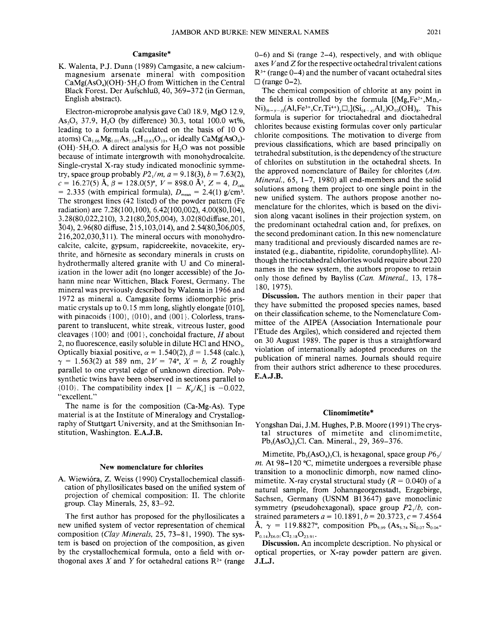## Camgasite\*

K. Walenta, *P.I.* Dunn (1989) Camgasite, a new calciummagnesium arsenate mineral with composition  $CaMe(AsO<sub>4</sub>)(OH)·5H<sub>3</sub>O$  from Wittichen in the Central Black Forest. Der Aufschluß, 40, 369–372 (in German, English abstract).

Electron-microprobe analysis gave Ca0 18.9, MgO 12.9, As<sub>2</sub>O<sub>5</sub> 37.9, H<sub>2</sub>O (by difference) 30.3, total 100.0 wt%, leading to a formula (calculated on the basis of 10 0 atoms) Ca<sub>1.06</sub>Mg<sub>1.01</sub>As<sub>1.04</sub>H<sub>10.63</sub>O<sub>10</sub>, or ideally CaMg(AsO<sub>4</sub>)- $(OH) \cdot 5H_2O$ . A direct analysis for  $H_2O$  was not possible because of intimate intergrowth with monohydrocalcite. Single-crystal X -ray study indicated monoclinic symmetry, space group probably  $P2_1/m$ ,  $a = 9.18(3)$ ,  $b = 7.63(2)$ ,  $c = 16.27(5)$   $\text{\AA}$ ,  $\beta = 128.0(5)$ °,  $V = 898.0$   $\text{\AA}$ <sup>3</sup>,  $Z = 4$ ,  $D_{\text{calc}}$  $= 2.335$  (with empirical formula),  $D_{\text{meas}} = 2.4(1)$  g/cm<sup>3</sup> The strongest lines (42 listed) of the powder pattern (Fe radiation) are 7.28( 100,100), 6.42( 100,002), 4.00(80, I04), ~.28(80,022,21 0), 3.21 (80,205,004), 3.02(80diffuse, 20 1, ~04), 2.96(80 diffuse, 215,103,014), and 2.54(80,306,005,  $\overline{2}16,202,030,\overline{3}11$ . The mineral occurs with monohydrocalcite, calcite, gypsum, rapidcreekite, novacekite, erythrite, and hörnesite as secondary minerals in crusts on hydrothermally altered granite with U and Co mineralization in the lower adit (no longer accessible) of the *lo*hann mine near Wittichen, Black Forest, Germany. The mineral was previously described by Walenta in 1966 and 1972 as mineral a. Camgasite forms idiomorphic prismatic crystals up to 0.15 mm long, slightly elongate [010], with pinacoids  $\{100\}$ ,  $\{010\}$ , and  $\{001\}$ . Colorless, transparent to translucent, white streak, vitreous luster, good cleavages  ${100}$  and  ${001}$ , conchoidal fracture, *H* about 2, no fluorescence, easily soluble in dilute HCl and HNO<sub>3</sub>. Optically biaxial positive,  $\alpha = 1.540(2)$ ,  $\beta = 1.548$  (calc.),  $\gamma = 1.563(2)$  at 589 nm,  $2V = 74^{\circ}$ ,  $X = b$ , Z roughly parallel to one crystal edge of unknown direction. Polysynthetic twins have been observed in sections parallel to {010}. The compatibility index  $[1 - K_p/K_c]$  is -0.022, "excellent. "

The name is for the composition (Ca-Mg-As). Type material is at the Institute of Mineralogy and Crystallography of Stuttgart University, and at the Smithsonian Institution, Washington. E.A.J.B.

### New nomenclature for chlorites

A. Wiewi6ra, Z. Weiss (1990) Crystallochemical classification of phyllosilicates based on the unified system of projection of chemical composition: II. The chlorite group. Clay Minerals, 25, 83-92.

The first author has proposed for the phyllosilicates a new unified system of vector representation of chemical composition *(Clay Minerals,* 25,73-81,1990). The system is based on projection of the composition, as given by the crystallochemical formula, onto a field with orthogonal axes *X* and *Y* for octahedral cations  $R^{2+}$  (range 0-6) and Si (range 2-4), respectively, and with oblique axes Vand Z for the respective octahedral trivalent cations  $R^{3+}$  (range 0-4) and the number of vacant octahedral sites  $\Box$  (range 0-2).

The chemical composition of chlorite at any point in the field is controlled by the formula  $[(Mg,Fe<sup>2+</sup>,Mn, Ni)_{(6-y-z)}(Al,Fe^{3+},Cr, Ti^{4+})_{y}\Box_{z}[(Si_{(4-x)}Al_{x})O_{10}(OH)_{8}$ . This formula is superior for trioctahedral and dioctahedral chlorites because existing formulas cover only particular chlorite compositions. The motivation to diverge from previous classifications, which are based principally on tetrahedral substitution, is the dependency of the structure of chlorites on substitution in the octahedral sheets. In the approved nomenclature of Bailey for chlorites *(Am. Mineral.,* 65, 1–7, 1980) all end-members and the solid solutions among them project to one single point in the new unified system. The authors propose another nomenclature for the chlorites, which is based on the division along vacant isolines in their projection system, on the predominant octahedral cation and, for prefixes, on the second predominant cation. In this new nomenclature many traditional and previously discarded names are reinstated (e.g., diabantite, ripidolite, corundophyllite). Although the trioctahedral chlorites would require about 220 names in the new system, the authors propose to retain only those defined by Bayliss *(Can. Mineral.,* 13, 178- 180, 1975).

Discussion. The authors mention in their paper that they have submitted the proposed species names, based on their classification scheme, to the Nomenclature Committee of the AIPEA (Association Internationale pour l'Etude des Argiles), which considered and rejected them on 30 August 1989. The paper is thus a straightforward violation of internationally adopted procedures on the publication of mineral names. Journals should require from their authors strict adherence to these procedures. E.A.J.B.

# Clinomimetite\*

Yongshan Dai, J.M. Hughes, P.B. Moore (1991) The crystal structures of mimetite and clinomimetite  $Pb_s(AsO_4)$ <sub>3</sub>Cl. Can. Mineral., 29, 369–376.

Mimetite, Pb<sub>5</sub>(AsO<sub>4</sub>)<sub>3</sub>Cl, is hexagonal, space group  $P6_3$ / *m.* At 98-120 °C, mimetite undergoes a reversible phase transition to a monoclinic dimorph, now named clinomimetite. X-ray crystal structural study  $(R = 0.040)$  of a natural sample, from Johanngeorgenstadt, Erzgebirge, Sachsen, Germany (USNM B13647) gave monoclinic symmetry (pseudohexagonal), space group *P2/b,* constrained parameters  $a = 10.1891$ ,  $b = 20.3723$ ,  $c = 7.4564$  $\rm \AA$ ,  $\gamma = 119.8827$ °, composition  $\rm Pb_{9.99}$  (As<sub>5.74</sub> Si<sub>0.07</sub> S<sub>0.06</sub>- $P_{0.14}$ <sub>2.6.01</sub> Cl<sub>2.18</sub>O<sub>23.91</sub>.

Discussion. An incomplete description. No physical or optical properties, or X-ray powder pattern are given. J.L.J.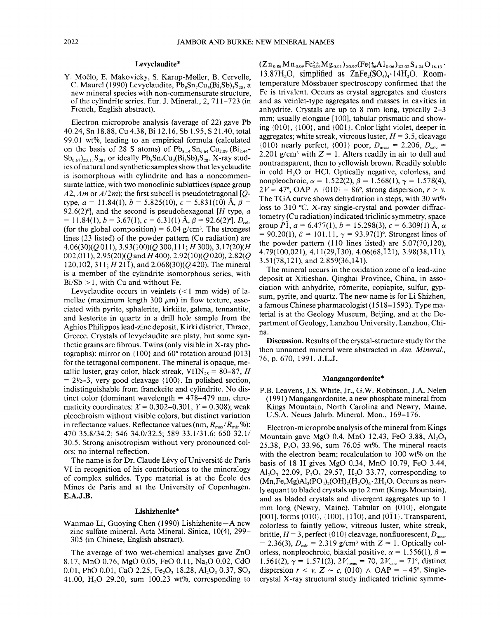# Levyclaudite\*

Y. Moëlo, E. Makovicky, S. Karup-Møller, B. Cervelle, C. Maurel (1990) Levyclaudite,  $Pb_8Sn_7Cu_3(Bi, Sb)$ <sub>28</sub>, a new mineral species with non-commensurate structure, of the cylindrite series. Eur. J. Mineral.,  $2, 711-723$  (in French, English abstract).

Electron microprobe analysis (average of 22) gave Pb 40.24, Sn 18.88, Cu 4.38, Bi 12.16, Sb 1.95, S 21.40, total 99.01 wt%, leading to an empirical formula (calculated on the basis of 28 S atoms) of  $Pb_{8,14}Sn_{6,64}Cu_{2.89}(Bi_{2.44} Sb_{0.67}$ <sub>23.11</sub>S<sub>28</sub>, or ideally  $Pb_8Sn_7Cu_3(Bi, Sb)_3S_{28}$ . X-ray studies of natural and synthetic samples show that levyclaudite is isomorphous with cylindrite and has a noncommensurate lattice, with two monoclinic sublattices (space group *A2, Am* or *A/2m);* the first subcell is pseudotetragonal *[Q*type,  $a = 11.84(1)$ ,  $b = 5.825(10)$ ,  $c = 5.831(10)$  Å,  $\beta =$ 92.6(2)°], and the second is pseudohexagonal *[H* type, *a*  $= 11.84(1), b = 3.67(1), c = 6.31(1)$   $\AA$ ,  $\beta = 92.6(2)$ °].  $D_{\text{calc}}$ (for the global composition) =  $6.04$  g/cm<sup>3</sup>. The strongest lines (23 listed) of the powder pattern (Cu radiation) are *4.06(30)(Q* 011), *3.93(100)(Q* 300,111; *H* 300), 3. *17(20)(H* 002,011), 2.95(20)(O and *H* 400), 2.92(10)(O 020), 2.82(O  $120, 10\overline{2}, 311; H21\overline{1}$ , and  $2.068(30)(Q420)$ . The mineral is a member of the cylindrite isomorphous series, with  $Bi/5b > 1$ , with Cu and without Fe.

Levyclaudite occurs in veinlets  $(< 1$  mm wide) of lamellae (maximum length  $300 \mu m$ ) in flow texture, associated with pyrite, sphalerite, kirkiite, galena, tennantite, and kesterite in quartz in a drill hole sample from the Aghios Philippos lead-zinc deposit, Kirki district, Thrace, Greece. Crystals of levyclaudite are platy, but some synthetic grains are fibrous. Twins (only visible in X-ray photographs): mirror on  ${100}$  and  $60^{\circ}$  rotation around  $[013]$ for the tetragonal component. The mineral is opaque, metallic luster, gray color, black streak,  $VHN_{25} = 80-87$ , *H*  $= 2\frac{1}{2}-3$ , very good cleavage {100}. In polished section, indistinguishable from franckeite and cylindrite. No distinct color (dominant wavelength  $= 478-479$  nm, chromaticity coordinates:  $X = 0.302 - 0.301$ ,  $Y = 0.308$ ; weak pleochroism without visible colors, but distinct variation in reflectance values. Reflectance values (nm,  $R_{\text{max}}/R_{\text{min}}$ %): 470 35.8/34.2; 546 34.0/32.5; 589 33.1/31.6; 650 32.1/ 30.5. Strong anisotropism without very pronounced colors; no internal reflection.

The name is for Dr. Claude Lévy of Université de Paris VI in recognition of his contributions to the mineralogy of complex sulfides. Type material is at the Ecole des Mines de Paris and at the University of Copenhagen. E.A.J.B.

### Lishizhenite\*

Wanmao Li, Guoying Chen (1990) Lishizhenite-A new zinc sulfate mineral. Acta Mineral. Sinica, 10(4), 299– 305 (in Chinese, English abstract).

The average of two wet-chemical analyses gave ZnO 8.17, MnO 0.76, MgO 0.05, FeO 0.11, Na<sub>2</sub>O 0.02, CdO 0.01, PbO 0.01, CaO 2.25, Fe<sub>2</sub>O<sub>3</sub> 18.28, Al<sub>2</sub>O<sub>3</sub> 0.37, SO<sub>3</sub> 41.00, H20 29.20, sum 100.23 wt%, corresponding to

 $\rm (Zn_{\,0.86}Mn_{\,0.09}Fe^{2+}_{0.01}Mg_{\,0.01})_{z0.97}(Fe^{3+}_{1.96}Al_{\,0.06})_{z2.02}S_{\,4.04}O_{\,16.13}$  . 13.87H<sub>2</sub>O, simplified as  $ZnFe<sub>2</sub>(SO<sub>a</sub>)<sub>a</sub>$ . 14H<sub>2</sub>O. Roomtemperature Mossbauer spectroscopy confirmed that the Fe is trivalent. Occurs as crystal aggregates and clusters and as veinlet-type aggregates and masses in cavities in anhydrite. Crystals are up to 8 mm long, typically 2-3 mm; usually elongate [100], tabular prismatic and showing  ${010}$ ,  ${100}$ , and  ${001}$ . Color light violet, deeper in aggregates; white streak, vitreous luster,  $H = 3.5$ , cleavage {010} nearly perfect, {001} poor,  $D_{\text{meas}} = 2.206$ ,  $D_{\text{calc}} =$ 2.201 g/cm<sup>3</sup> with  $Z = 1$ . Alters readily in air to dull and nontransparent, then to yellowish brown. Readily soluble in cold H<sub>2</sub>O or HCl. Optically negative, colorless, and nonpleochroic,  $\alpha = 1.522(2), \beta = 1.568(1), \gamma = 1.578(4)$  $2V = 47^\circ$ , OAP  $\wedge$   $\{010\} = 86^\circ$ , strong dispersion,  $r > v$ . The TGA curve shows dehydration in steps, with 30 wt% loss to 310°C. X-ray single-crystal and powder diffractometry (Cu radiation) indicated triclinic symmetry, space group *P*I,  $a = 6.477(1)$ ,  $b = 15.298(3)$ ,  $c = 6.309(1)$  Å,  $\alpha$  $= 90.20(1), \beta = 101.11, \gamma = 93.97(1)$ °. Strongest lines of the powder pattern (110 lines listed) are 5.07(70,120),  $4.79(100,021), 4.11(29,130), 4.06(68,121), 3.98(38,111),$ 3.51(78,121), and 2.859(36,141).

The mineral occurs in the oxidation zone of a lead-zinc deposit at Xitieshan, Qinghai Province, China, in association with anhydrite, römerite, copiapite, sulfur, gypsum, pyrite, and quartz. The new name is for Li Shizhen a famous Chinese pharmacologist (1518-1593). Type ma~ terial is at the Geology Museum, Beijing, and at the Department of Geology, Lanzhou University, Lanzhou, China.

Discussion. Results of the crystal-structure study for the then unnamed mineral were abstracted in *Am. Mineral.,* 76, p. 670, 1991. J.L.J.

#### Mangangordonite\*

P.B. Leavens, J.S. White, Jr., G.W. Robinson, J.A. Nelen (1991) Mangangordonite, a new phosphate mineral from Kings Mountain, North Carolina and Newry, Maine, U.S.A. Neues Jahrb. Mineral. Mon., 169-176.

Electron-microprobe analysis of the mineral from Kings Mountain gave MgO 0.4, MnO 12.43, FeO 3.88, Al<sub>2</sub>O<sub>3</sub> 25.38,  $P_2O_5$  33.96, sum 76.05 wt%. The mineral reacts with the electron beam; recalculation to 100 wt% on the basis of 18 H gives MgO 0.34, MnO 10.79, FeO 3.44, Al<sub>2</sub>O<sub>3</sub> 22.09, P<sub>2</sub>O<sub>5</sub> 29.57, H<sub>2</sub>O 33.77, corresponding to  $(Mn,Fe,Mg)Al<sub>2</sub>(PO<sub>4</sub>)<sub>2</sub>(OH)<sub>2</sub>(H<sub>2</sub>O)<sub>6</sub>·2H<sub>2</sub>O$ . Occurs as nearly equant to bladed crystals up to 2 mm (Kings Mountain), and as bladed crystals and divergent aggregates up to 1 mm long (Newry, Maine). Tabular on {DID}, elongate [001], forms  $\{010\}$ ,  $\{100\}$ ,  $\{1\overline{1}0\}$ , and  $\{0\overline{1}1\}$ . Transparent, colorless to faintly yellow, vitreous luster, white streak, brittle,  $H = 3$ , perfect {010} cleavage, nonfluorescent,  $D_{\text{meas}}$  $= 2.36(3), D_{\text{calc}} = 2.319 \text{ g/cm}^3 \text{ with } Z = 1. \text{ Optically col-}$ orless, nonpleochroic, biaxial positive,  $\alpha = 1.556(1)$ ,  $\beta =$ 1.561(2),  $\gamma = 1.571(2)$ ,  $2V_{\text{meas}} = 70$ ,  $2V_{\text{calc}} = 71^{\circ}$ , distinction dispersion  $r < v$ ,  $Z \sim c$ , (010)  $\wedge$  OAP = -45°. Singlecrystal X-ray structural study indicated triclinic symme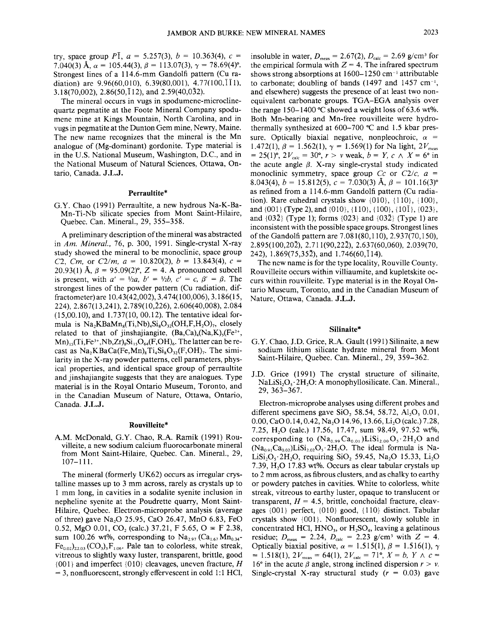try, space group *PI*,  $a = 5.257(3)$ ,  $b = 10.363(4)$ ,  $c =$ 7.040(3)  $\hat{A}$ ,  $\alpha = 105.44(3)$ ,  $\beta = 113.07(3)$ ,  $\gamma = 78.69(4)$ °. Strongest lines of a 114.6-mm Gandolfi pattern (Cu radiation) are  $9.96(60,010)$ ,  $6.39(80,001)$ ,  $4.77(100,11)$ , 3.18(70,002), 2.86(50, 112), and 2.59(40,032).

The mineral occurs in vugs in spodumene-microclinequartz pegmatite at the Foote Mineral Company spodumene mine at Kings Mountain, North Carolina, and in vugs in pegmatite at the Dunton Gem mine, Newry, Maine. The new name recognizes that the mineral is the Mn analogue of (Mg-dominant) gordonite. Type material is in the U.S. National Museum, Washington, D.C., and in the National Museum of Natural Sciences, Ottawa, Ontario, Canada. J.L.J.

### Perraultite\*

G.Y. Chao (1991) Perraultite, a new hydrous Na-K-Ba-Mn- Ti-Nb silicate species from Mont Saint-Hilaire, Quebec. Can. Mineral., 29, 355-358.

A preliminary description of the mineral was abstracted in *Am. Mineral.,* 76, p. 300, 1991. Single-crystal X-ray study showed the mineral to be monoclinic, space group *C2, Cm,* or  $C2/m$ ,  $a = 10.820(2)$ ,  $b = 13.843(4)$ ,  $c =$ 20.93(1) Å,  $\beta = 95.09(2)$ °,  $Z = 4$ . A pronounced subcell is present, with  $a' = \frac{1}{2}a$ ,  $b' = \frac{1}{2}b$ ,  $c' = c$ ,  $\beta' = \beta$ . The strongest lines of the powder pattern (Cu radiation, diffractometer) are 10.43(42,002), 3.47 4( 100,006), 3.186( 15, 224), 2.867( 13,241), 2. 789( 10,226), 2.606(40,008), 2.084 (15,00.10), and 1.737(10,00.12). The tentative ideal formula is  $Na<sub>2</sub>KBaMn<sub>8</sub>(Ti,Nb)<sub>4</sub>Si<sub>8</sub>O<sub>32</sub>(OH,F,H<sub>2</sub>O)<sub>7</sub>$ , closely related to that of jinshajiangite,  $(Ba, Ca)_{4}(Na, K)_{5}(Fe^{2+},$  $\rm Mn)_{15}$ (Ti,Fe<sup>3+</sup>,Nb,Zr)<sub>8</sub>Si<sub>15</sub>O<sub>64</sub>(F,OH)<sub>6</sub>. The latter can be recast as  $Na<sub>2</sub>KBaCa(Fe, Mn)<sub>8</sub>Ti<sub>4</sub>Si<sub>8</sub>O<sub>32</sub>(F, OH)<sub>7</sub>. The simi$ larity in the X-ray powder patterns, cell parameters, physical properties, and identical space group of perraultite and jinshajiangite suggests that they are analogues. Type material is in the Royal Ontario Museum, Toronto, and in the Canadian Museum of Nature, Ottawa, Ontario, Canada. J.L.J.

# Rouvilleite\*

A.M. McDonald, G.Y. Chao, R.A. Ramik (1991) Rouvilleite, a new sodium calcium fluorocarbonate mineral from Mont Saint-Hilaire, Quebec. Can. Mineral., 29, 107-111.

The mineral (formerly UK62) occurs as irregular crystalline masses up to 3 mm across, rarely as crystals up to 1 mm long, in cavities in a sodalite syenite inclusion in nepheline syenite at the Poudrette quarry, Mont Saint-Hilaire, Quebec. Electron-microprobe analysis (average of three) gave  $Na<sub>2</sub>O$  25.95, CaO 26.47, MnO 6.83, FeO 0.52, MgO 0.01, CO<sub>2</sub> (calc.) 37.21, F 5.65, O  $\equiv$  F 2.38, sum 100.26 wt%, corresponding to  $Na_{2.97}$  (Ca<sub>1.67</sub>Mn<sub>0.34</sub>- $Fe_{0.02})_{\Sigma2.03}$  (CO<sub>3</sub>)<sub>3</sub>F<sub>1.06</sub>. Pale tan to colorless, white streak, vitreous to slightly waxy luster, transparent, brittle, good {001} and imperfect {O10} cleavages, uneven fracture, *H*  $= 3$ , nonfluorescent, strongly effervescent in cold 1:1 HCl,

insoluble in water,  $D_{\text{meas}} = 2.67(2), D_{\text{calc}} = 2.69$  g/cm<sup>3</sup> for the empirical formula with  $Z = 4$ . The infrared spectrum shows strong absorptions at  $1600-1250$  cm<sup>-1</sup> attributable to carbonate; doubling of bands (1497 and 1457 cm<sup>-1</sup>, and elsewhere) suggests the presence of at least two nonequivalent carbonate groups. TGA-EGA analysis over the range 150-1400 °C showed a weight loss of 63.6 wt%. Both Mn-bearing and Mn-free rouvilleite were hydrothermally synthesized at  $600-700$  °C and 1.5 kbar pressure. Optically biaxial negative, nonpleochroic,  $\alpha$  = 1.472(1),  $\beta = 1.562(1)$ ,  $\gamma = 1.569(1)$  for Na light,  $2V_{\text{meas}}$  $= 25(1)$ °,  $2V_{\text{calc}} = 30$ °,  $r > v$  weak,  $b = Y$ ,  $c \wedge X = 6$ ° in the acute angle  $\beta$ . X-ray single-crystal study indicated monoclinic symmetry, space group Cc or *C2/c, a =* 8.043(4),  $b = 15.812(5)$ ,  $c = 7.030(3)$  Å,  $\beta = 101.16(3)$ ° as refined from a 114.6-mm Gandolfi pattern (Cu radiation). Rare euhedral crystals show  $\{010\}$ ,  $\{110\}$ ,  $\{100\}$ , and  $\{001\}$  (Type 2), and  $\{010\}$ ,  $\{110\}$ ,  $\{100\}$ ,  $\{10\}$ ,  $\{023\}$ , and  $\{03\bar{2}\}$  (Type 1); forms  $\{023\}$  and  $\{03\bar{2}\}$  (Type 1) are inconsistent with the possible space groups. Strongest lines of the Gandolfi pattern are 7.081(80,110), 2.937(70,150), 2.895(100,202), 2.711 (90,222), 2.637(60,060), 2.039(70, 242),  $1.869(75.35\overline{2})$ , and  $1.746(60,\overline{1}14)$ .

The new name is for the type locality, Rouville County. Rouvilleite occurs within villiaumite, and kupletskite occurs within rouvilleite. Type material is in the Royal Ontario Museum, Toronto, and in the Canadian Museum of Nature, Ottawa, Canada. J.L.J.

### Silinaite\*

- G.Y. Chao, J.D. Grice, R.A. Gault (1991) Silinaite, a new sodium lithium silicate hydrate mineral from Mont Saint-Hilaire, Quebec. Can. Mineral., 29, 359-362.
- J.D. Grice (1991) The crystal structure of silinaite, NaLi $\text{Si}_2\text{O}_5$ . 2H<sub>2</sub>O: A monophyllosilicate. Can. Mineral., 29, 363-367.

Electron-microprobe analyses using different probes and different specimens gave SiO, 58.54, 58.72,  $Al_2O_3$  0.01, 0.00, CaO 0.14, 0.42, Na<sub>2</sub>O 14.96, 13.66, Li<sub>2</sub>O (calc.) 7.28, 7.25, H<sub>2</sub>O (calc.) 17.56, 17.47, sum 98.49, 97.52 wt%, corresponding to  $(Na_{0.99}Ca_{0.01})LiSi<sub>2.00</sub>O<sub>5</sub>·2H<sub>2</sub>O$  and  $(Na_{0.91}Ca_{0.02})LiSi<sub>2.02</sub>O<sub>5</sub>·2H<sub>2</sub>O$ . The ideal formula is Na-LiSi<sub>2</sub>O<sub>s</sub>.2H<sub>2</sub>O, requiring SiO<sub>2</sub> 59.45, Na<sub>2</sub>O 15.33, Li<sub>2</sub>O 7.39,  $H<sub>2</sub>$ ,  $O<sub>17.83</sub>$  wt%. Occurs as clear tabular crystals up to 2 mm across, as fibrous clusters, and as chalky to earthy or powdery patches in cavities. White to colorless, white streak, vitreous to earthy luster, opaque to translucent or transparent,  $H = 4.5$ , brittle, conchoidal fracture, cleavages  $\{001\}$  perfect,  $\{010\}$  good,  $\{110\}$  distinct. Tabular crystals show {001}. Nonfluorescent, slowly soluble in concentrated HCl,  $HNO<sub>3</sub>$ , or  $H<sub>2</sub>SO<sub>4</sub>$ , leaving a gelatinous residue;  $D_{\text{meas}} = 2.24$ ,  $D_{\text{calc}} = 2.23$  g/cm<sup>3</sup> with  $Z = 4$ . Optically biaxial positive,  $\alpha = 1.515(1)$ ,  $\beta = 1.516(1)$ ,  $\gamma$  $= 1.518(1), 2V_{\text{meas}} = 64(1), 2V_{\text{calc}} = 71^{\circ}, X = b, Y \wedge c =$ 16° in the acute  $\beta$  angle, strong inclined dispersion  $r > v$ . Single-crystal X-ray structural study  $(r = 0.03)$  gave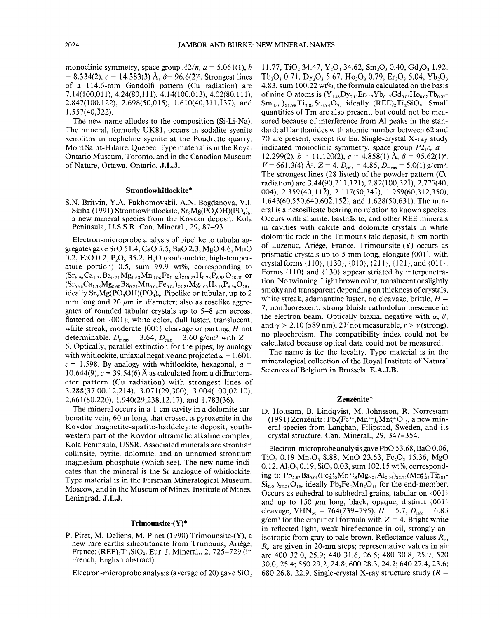monoclinic symmetry, space group  $A2/n$ ,  $a = 5.061(1)$ , *b*  $= 8.334(2), c = 14.383(3)$  Å,  $\beta = 96.6(2)$ °. Strongest lines of a 114.6-mm Gandolfi pattern (Cu radiation) are 7.14( 100,0 11), 4.24(80,1 11), 4.14( 100,013), 4.02(80,111), 2.847(100,122), 2.698(50,015), 1.610(40,311,137), and 1.557(40,322).

The new name alludes to the composition (Si-Li-Na). The mineral, formerly UK81, occurs in sodalite syenite xenoliths in nepheline syenite at the Poudrette quarry, Mont Saint-Hilaire, Quebec. Type material is in the Royal Ontario Museum, Toronto, and in the Canadian Museum of Nature, Ottawa, Ontario. J.L.J.

## Strontiowhitlockite\*

S.N. Britvin, Y.A. Pakhomovskii, A.N. Bogdanova, V.I. Skiba (1991) Strontiowhitlockite,  $Sr_{0}Mg(PO_{3}OH)(PO_{4})_{6}$ , a new mineral species from the Kovdor deposit, Kola Peninsula, U.S.S.R. Can. Mineral., 29, 87-93.

Electron-microprobe analysis of pipelike to tubular aggregates gave SrO 51.4, CaO 5.5, BaO 2.3, MgO 4.6, MnO  $0.2$ , FeO  $0.2$ , P<sub>2</sub>O<sub>s</sub>  $35.2$ , H<sub>2</sub>O (coulometric, high-temperature portion) 0.5, sum 99.9 wt%, corresponding to  $(Sr_{6.96}Ca_{1.38}Ba_{0.21}Mg_{1.60}Mn_{0.04}Fe_{0.04})_{\Sigma10.23}H_{0.78}P_{6.96}O_{28.00}$  or  $(Sr_{6.96}Ca_{1.38}Mg_{0.60}Ba_{0.21}Mn_{0.04}Fe_{0.04})_{z9.23}Mg_{1.00}H_{0.78}P_{6.96}O_{28}$ ideally  $Sr_9Mg(PO_3OH)(PO_4)_{6}$ . Pipelike or tubular, up to 2 mm long and 20  $\mu$ m in diameter; also as roselike aggregates of rounded tabular crystals up to  $5-8$   $\mu$ m across, flattened on {001}; white color, dull luster, translucent, white streak, moderate {001} cleavage or parting, *H* not determinable,  $D_{\text{meas}} = 3.64$ ,  $D_{\text{calc}} = 3.60$  g/cm<sup>3</sup> with Z = 6. Optically, parallel extinction for the pipes; by analogy with whitlockite, uniaxial negative and projected  $\omega = 1.601$ ,  $\epsilon = 1.598$ . By analogy with whitlockite, hexagonal,  $a =$ 10.644(9),  $c = 39.54(6)$  Å as calculated from a diffractometer pattern (Cu radiation) with strongest lines of 3.288(37,00.12,214), 3.071 (29,300), 3.004( 100,02.1 0), 2.661 (80,220), 1.940(29,238,12.17), and 1.783(36).

The mineral occurs in a l-cm cavity in a dolomite carbonatite vein, 60 m long, that crosscuts pyroxenite in the Kovdor magnetite-apatite-baddeleyite deposit, southwestern part of the Kovdor ultramafic alkaline complex, Kola Peninsula, USSR. Associated minerals are strontian collinsite, pyrite, dolomite, and an unnamed strontium magnesium phosphate (which see). The new name indicates that the mineral is the Sr analogue of whitlockite. Type material is in the Fersman Mineralogical Museum, Moscow, and in the Museum of Mines, Institute of Mines, Leningrad. J.L.J.

#### Trimounsite-(Y)\*

P. Piret, M. Deliens, M. Pinet (1990) Trimounsite-(Y), a new rare earths silicotitanate from Trimouns, Ariege, France:  $(REE), Ti, SiO<sub>9</sub>$ . Eur. J. Mineral., 2,725-729 (in French, English abstract).

Electron-microprobe analysis (average of 20) gave  $SiO<sub>2</sub>$ 

11.77, TiO<sub>2</sub> 34.47, Y<sub>2</sub>O<sub>3</sub> 34.62, Sm<sub>2</sub>O<sub>3</sub> 0.40, Gd<sub>2</sub>O<sub>3</sub> 1.92, Tb<sub>2</sub>O<sub>3</sub> 0.71, D<sub>v3</sub>O<sub>2</sub> 5.67, H<sub>02</sub>O<sub>3</sub> 0.79, Er<sub>3</sub>O<sub>2</sub> 5.04, Yb<sub>2</sub>O<sub>3</sub> 4.83, sum 100.22 wt%; the formula calculated on the basis of nine O atoms is  $(Y_{1.48}Dy_{0.15}Er_{0.13}Yb_{0.12}Gd_{0.05}Ho_{0.02}Tb_{0.02}$  $Sm_{0.01})_{21.98}Ti_{2.08}Si_{0.94}O_9$ , ideally (REE)<sub>2</sub>Ti<sub>2</sub>SiO<sub>9</sub>. Small quantities of Tm are also present, but could not be measured because of interference from Al peaks in the standard; all lanthanides with atomic number between 62 and 70 are present, except for Eu. Single-crystal X-ray study indicated monoclinic symmetry, space group  $P2_1c$ ,  $a =$ 12.299(2),  $b = 11.120(2)$ ,  $c = 4.858(1)$  Å,  $\beta = 95.62(1)$ °,  $V = 661.3(4)$  Å<sup>3</sup>,  $Z = 4$ ,  $D_{\text{calc}} = 4.85$ ,  $D_{\text{meas}} = 5.0(1)$  g/cm<sup>3</sup>. The strongest lines (28 listed) of the powder pattern (Cu radiation) are 3.44(90,211,121), 2.82(100,321), 2.777(40, 004), 2.359 (40, 112), 2.11 7(50,341), 1.959(60,312,350), 1.643(60,550,640,602,152), and 1.628(50,631). The mineral is a nesosilicate bearing no relation to known species. Occurs with allanite, bastnäsite, and other REE minerals in cavities with calcite and dolomite crystals in white dolomitic rock in the Trimouns talc deposit, 6 km north of Luzenac, Ariege, France. Trimounsite-(Y) occurs as prismatic crystals up to 5 mm long, elongate [001], with crystal forms {110}, {130}, {O1O}, {211}, {121 }, and {Oil}. Forms {110} and {130} appear striated by interpenetration. No twinning. Light brown color, translucent or slightly smoky and transparent depending on thickness of crystals, white streak, adamantine luster, no cleavage, brittle, *H =* 7, nonfluorescent, strong bluish cathodoluminescence in the electron beam. Optically biaxial negative with  $\alpha$ ,  $\beta$ , and  $\gamma > 2.10$  (589 nm), 2*V* not measurable,  $r > v$  (strong), no pleochroism. The compatibility index could not be calculated because optical data could not be measured.

The name is for the locality. Type material is in the mineralogical collection of the Royal Institute of Natural Sciences of Belgium in Brussels. E.A.J.B.

# Zenzénite\*

D. Holtsam, B. Lindqvist, M. Johnsson, R. Norrestam (1991) Zenzénite:  $Pb_3(Fe^{3+}Mn^{3+})_4Mn_3^{4+}O_{15}$ , a new mineral species from Långban, Filipstad, Sweden, and its crystal structure. Can. Mineral., 29, 347-354.

Electron-microprobe analysis gave PbO 53.68, BaO 0.06, TiO<sub>2</sub> 0.19 Mn<sub>2</sub>O<sub>3</sub> 8.88, MnO 23.63, Fe<sub>2</sub>O<sub>3</sub> 15.36, MgO 0.12, Al<sub>2</sub>O<sub>3</sub> 0.19, SiO<sub>2</sub> 0.03, sum 102.15 wt%, corresponding to  $\text{Pb}_{2.87}\text{Ba}_{0.01}(\text{Fe}_{2.30}^{3+}\text{Mn}_{1.35}^{3+}\text{Mg}_{0.04}\text{Al}_{0.04})_{23.71}(\text{Mn}_{3.24}^{4+}\text{Ti}_{0.03}^{4+})$  $Si<sub>0.01</sub>$ <sub>23.28</sub>O<sub>15</sub>, ideally Pb<sub>3</sub>Fe<sub>4</sub>Mn<sub>3</sub>O<sub>15</sub> for the end-member. Occurs as euhedral to subhedral grains, tabular on {OOI} and up to 150  $\mu$ m long, black, opaque, distinct {001} cleavage, VHN<sub>so</sub> = 764(739–795),  $H = 5.7$ ,  $D_{\text{calc}} = 6.83$  $g/cm<sup>3</sup>$  for the empirical formula with  $Z = 4$ . Bright white in reflected light, weak bireflectance in oil, strongly anisotropic from gray to pale brown. Reflectance values *Ro, Re'* are given in 20-nm steps; representative values in air are 400 32.0, 25.9; 440 31.6, 26.5; 480 30.8, 25.9, 520 30.0,25.4; 560 29.2,24.8; 600 28.3,24.2; 640 27.4, 23.6; 680 26.8, 22.9. Single-crystal X-ray structure study ( $R =$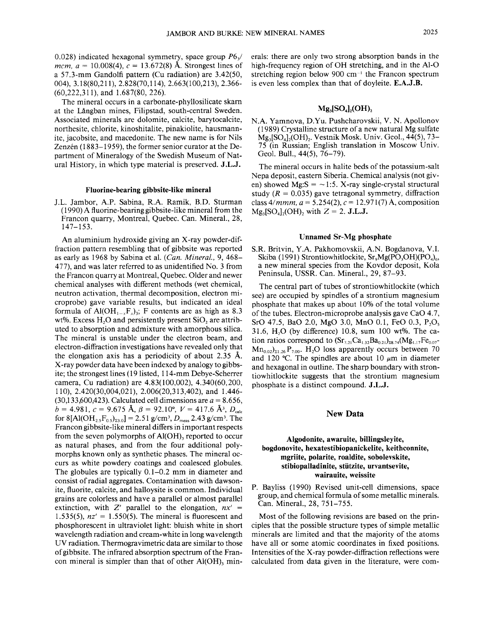0.028) indicated hexagonal symmetry, space group  $P6<sub>3</sub>$ / *mcm,*  $a = 10.008(4)$ ,  $c = 13.672(8)$  Å. Strongest lines of a 57.3-mm Gandolfi pattern (Cu radiation) are 3.42(50, 004), 3.18(80,211), 2.828(70,114), 2.663(100,213), 2.366- (60,222,311), and 1.687(80, 226).

The mineral occurs in a carbonate-phyllosilicate skarn at the Langban mines, Filipstad, south-central Sweden. Associated minerals are dolomite, calcite, barytocalcite, northesite, chlorite, kinoshitalite, pinakiolite, hausmannite, jacobsite, and macedonite. The new name is for Nils Zenzén (1883-1959), the former senior curator at the Department of Mineralogy of the Swedish Museum of Natural History, in which type material is preserved. J.L.J.

### Fluorine-bearing gibbsite-like mineral

J.L. Jambor, A.P. Sabina, R.A. Ramik, B.D. Sturman (1990) A fluorine-bearing gibbsite-like mineral from the Francon quarry, Montreal, Quebec. Can. Mineral., 28, 147-153.

An aluminium hydroxide giving an X-ray powder-diffraction pattern resembling that of gibbsite was reported as early as 1968 by Sabina et al. *(Can. Mineral.,* 9, 468- 477), and was later referred to as unidentified No.3 from the Francon quarry at Montreal, Quebec. Older and newer chemical analyses with different methods (wet chemical, neutron activation, thermal decomposition, electron microprobe) gave variable results, but indicated an ideal formula of Al(OH<sub>1-x</sub>F<sub>x</sub>)<sub>3</sub>; F contents are as high as 8.3 wt%. Excess H<sub>2</sub>O and persistently present SiO<sub>2</sub> are attributed to absorption and admixture with amorphous silica. The mineral is unstable under the electron beam, and electron-diffraction investigations have revealed only that the elongation axis has a periodicity of about 2.35 A. X-ray powder data have been indexed by analogy to gibbsite; the strongest lines (19 listed, 114-mm Debye-Scherrer camera, Cu radiation) are 4.83(100,002), 4.340(60,200, 110), 2.420(30,004,021), 2.006(20,313,402), and 1.446-  $(30,133,600,423)$ . Calculated cell dimensions are  $a = 8.656$ .  $b = 4.981, c = 9.675$   $\rm \AA$ ,  $\beta = 92.10^{\circ}, V = 417.6$   $\rm \AA$ <sup>3</sup>,  $D_{\rm calc}$ for  $8[A(OH_2, F_0, \epsilon)_{23.0}] = 2.51$  g/cm<sup>3</sup>,  $D_{\text{meas}}$  2.43 g/cm<sup>3</sup>. The Francon gibbsite-like mineral differs in important respects from the seven polymorphs of  $AI(OH)$ , reported to occur as natural phases, and from the four additional polymorphs known only as synthetic phases. The mineral occurs as white powdery coatings and coalesced globules. The globules are typically 0.1-0.2 mm in diameter and consist of radial aggregates. Contamination with dawsonite, fluorite, calcite, and halloysite is common. Individual grains are colorless and have a parallel or almost parallel extinction, with Z' parallel to the elongation, *nx' = 1.535(5), nz'* = 1.550(5). The mineral is fluorescent and phosphorescent in ultraviolet light: bluish white in short wavelength radiation and cream-white in long wavelength UV radiation. Thermogravimetric data are similar to those of gibbsite. The infrared absorption spectrum of the Francon mineral is simpler than that of other  $AI(OH)$ , minerals: there are only two strong absorption bands in the high-frequency region of OH stretching, and in the Al-O stretching region below 900  $cm^{-1}$  the Francon spectrum is even less complex than that of doyleite. E.A.J.B.

# $Mg_3[SO_4]_2(OH)_2$

N.A. Yamnova, D.Yu. Pushcharovskii, V. N. Apollonov (1989) Crystalline structure of a new natural Mg sulfate  $Mg_3[SO_4]_2(OH)_2$ . Vestnik Mosk. Univ. Geol., 44(5), 73-75 (in Russian; English translation in Moscow Univ. Geol. Bull., 44(5), 76-79).

The mineral occurs in halite beds of the potassium-salt Nepa deposit, eastern Siberia. Chemical analysis (not given) showed Mg: $S = \sim 1$ :5. X-ray single-crystal structural study ( $R = 0.035$ ) gave tetragonal symmetry, diffraction class  $4/mmm$ ,  $a = 5.254(2)$ ,  $c = 12.971(7)$  Å, composition  $Mg_3[SO_4]_2(OH)$ , with  $Z = 2$ . J.L.J.

### Unnamed Sr-Mg phosphate

S.R. Britvin, Y.A. Pakhomovskii, A.N. Bogdanova, V.I. Skiba (1991) Strontiowhitlockite, Sr<sub>9</sub>Mg(PO<sub>3</sub>OH)(PO<sub>4</sub>)<sub>6</sub>, a new mineral species from the Kovdor deposit, Kola Peninsula, USSR. Can. Mineral., 29, 87-93.

The central part of tubes of strontiowhitlockite (which see) are occupied by spindles of a strontium magnesium phosphate that makes up about 10% of the total volume of the tubes. Electron-microprobe analysis gave CaO 4.7, SrO 47.5, BaO 2.0, MgO 3.0, MnO 0.1, FeO 0.3, P<sub>2</sub>O<sub>5</sub> 31.6,  $H<sub>2</sub>O$  (by difference) 10.8, sum 100 wt%. The cation ratios correspond to  $(Sr_{7,21}Ca_{1,32}Ba_{0,21})_{28,74}(Mg_{1,17}Fe_{0,07} Mn_{0.02}$ <sub>21.26</sub>P<sub>7.00</sub>. H<sub>2</sub>O loss apparently occurs between 70 and 120 °C. The spindles are about 10  $\mu$ m in diameter and hexagonal in outline. The sharp boundary with strontiowhitlockite suggests that the strontium magnesium phosphate is a distinct compound. J.L.J.

## New Data

# Algodonite, awaruite, billingsleyite, bogdonovite, hexatestibiopanickelite, keithconnite, mgriite, polarite, roaldite, sobolevskite, stibiopalladinite, stiitzite, urvantsevite, wairauite, weissite

P. Bayliss (1990) Revised unit-cell dimensions, space group, and chemical formula of some metallic minerals. Can. Mineral., 28, 751-755.

Most of the following revisions are based on the principles that the possible structure types of simple metallic minerals are limited and that the majority of the atoms have all or some atomic coordinates in fixed positions. Intensities of the X-ray powder-diffraction reflections were calculated from data given in the literature, were com